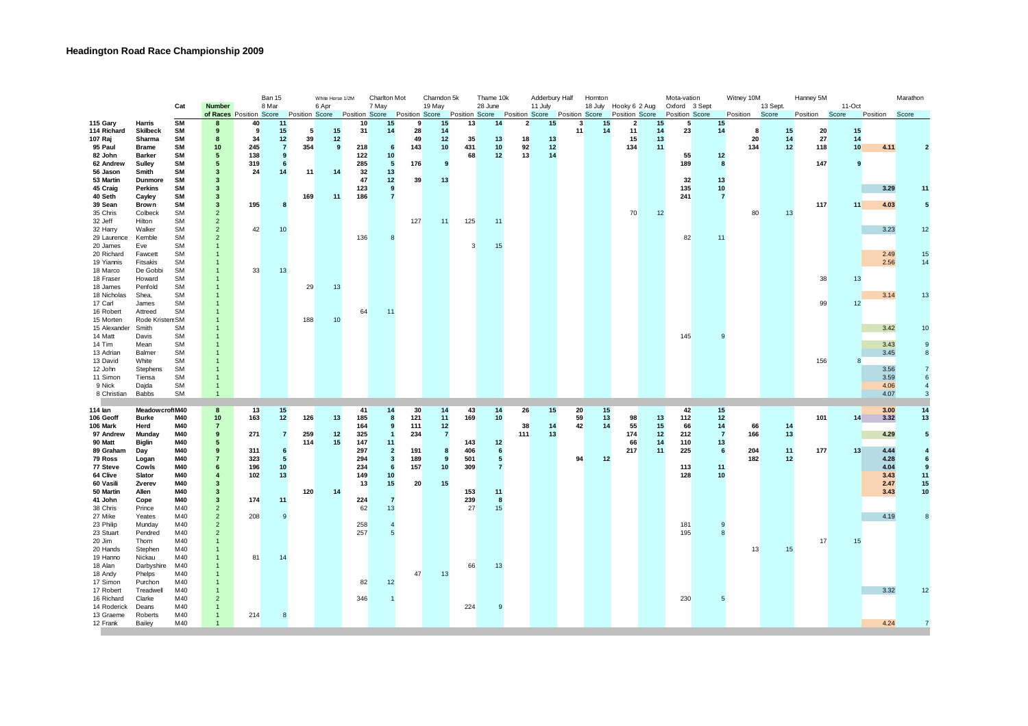|                           |                               |                        |                                          |            | Ban 15              |                       | White Horse 1/2M | Charlton Mot          |                  | Charndon 5k |                | Thame 10k |                                                                        | Adderbury Half |          | Hornton  |          |                                                | Mota-vation |                                 | Witney 10M     |          |                   | Hanney 5M |          |                 | Marathon     |          |
|---------------------------|-------------------------------|------------------------|------------------------------------------|------------|---------------------|-----------------------|------------------|-----------------------|------------------|-------------|----------------|-----------|------------------------------------------------------------------------|----------------|----------|----------|----------|------------------------------------------------|-------------|---------------------------------|----------------|----------|-------------------|-----------|----------|-----------------|--------------|----------|
|                           |                               | Cat                    | <b>Number</b><br>of Races Position Score |            | 8 Mar               | <b>Position Score</b> | 6 Apr            | <b>Position Score</b> | 7 May            |             | 19 May         |           | 28 June<br>Position Score Position Score Position Score Position Score |                | 11 July  |          |          | 18 July Hooky 6 2 Aug<br><b>Position Score</b> |             | Oxford 3 Sept<br>Position Score |                | Position | 13 Sept.<br>Score |           | Position | 11-Oct<br>Score | Position     | Score    |
| 115 Gary                  | Harris                        | <b>SM</b>              | 8                                        | 40         | 11                  |                       |                  | 10                    | 15               | 9           | 15             | 13        | 14                                                                     | $\overline{2}$ | 15       | 3        | 15       | $\overline{2}$                                 | 15          | 5                               | 15             |          |                   |           |          |                 |              |          |
| 114 Richard               | <b>Skilbeck</b>               | <b>SM</b>              | 9                                        | 9          | 15                  | 5                     | 15               | 31                    | 14               | 28          | 14             |           |                                                                        |                |          | 11       | 14       | 11                                             | 14          | 23                              | 14             |          | -8                | 15        | 20       | 15              |              |          |
| 107 Raj                   | Sharma                        | <b>SM</b>              | 8                                        | 34         | 12                  | 39                    | 12               |                       |                  | 49          | 12             | 35        | 13                                                                     | 18             | 13       |          |          | 15                                             | 13          |                                 |                |          | 20                | 14        | 27       | 14              |              |          |
| 95 Paul<br>82 John        | <b>Brame</b><br><b>Barker</b> | <b>SM</b><br><b>SM</b> | 10<br>5                                  | 245<br>138 | $\overline{7}$<br>9 | 354                   | -9               | 218<br>122            | 6<br>10          | 143         | 10             | 431<br>68 | 10<br>12                                                               | 92<br>13       | 12<br>14 |          |          | 134                                            | 11          | 55                              | 12             | 134      |                   | 12        | 118      | 10              | 4.11         |          |
| 62 Andrew                 | Sulley                        | <b>SM</b>              | 5                                        | 319        | 6                   |                       |                  | 285                   | $5\phantom{.0}$  | 176         | 9              |           |                                                                        |                |          |          |          |                                                |             | 189                             | 8              |          |                   |           | 147      | 9               |              |          |
| 56 Jason                  | Smith                         | <b>SM</b>              | 3                                        | 24         | 14                  | 11                    | 14               | 32                    | 13               |             |                |           |                                                                        |                |          |          |          |                                                |             |                                 |                |          |                   |           |          |                 |              |          |
| 53 Martin                 | Dunmore                       | SM                     | 3                                        |            |                     |                       |                  | 47                    | 12               | 39          | 13             |           |                                                                        |                |          |          |          |                                                |             | 32                              | 13             |          |                   |           |          |                 |              |          |
| 45 Craig                  | <b>Perkins</b>                | <b>SM</b>              | 3                                        |            |                     |                       |                  | 123                   | 9                |             |                |           |                                                                        |                |          |          |          |                                                |             | 135                             | 10             |          |                   |           |          |                 | 3.29         | 1.       |
| 40 Seth                   | Cayley                        | <b>SM</b>              | 3                                        |            |                     | 169                   | 11               | 186                   | $\overline{7}$   |             |                |           |                                                                        |                |          |          |          |                                                |             | 241                             | $\overline{7}$ |          |                   |           |          |                 |              |          |
| 39 Sean<br>35 Chris       | Brown<br>Colbeck              | <b>SM</b><br><b>SM</b> | 3<br>$\overline{2}$                      | 195        | 8                   |                       |                  |                       |                  |             |                |           |                                                                        |                |          |          |          | 70                                             | 12          |                                 |                |          | 80                | 13        | 117      | 11              | 4.03         | 5        |
| 32 Jeff                   | Hilton                        | <b>SM</b>              | $\overline{2}$                           |            |                     |                       |                  |                       |                  | 127         | 11             | 125       | 11                                                                     |                |          |          |          |                                                |             |                                 |                |          |                   |           |          |                 |              |          |
| 32 Harry                  | Walker                        | SM                     | $\overline{2}$                           | 42         | 10                  |                       |                  |                       |                  |             |                |           |                                                                        |                |          |          |          |                                                |             |                                 |                |          |                   |           |          |                 | 3.23         | 12       |
| 29 Laurence               | Kemble                        | <b>SM</b>              | $\overline{2}$                           |            |                     |                       |                  | 136                   | $\mathbf{8}$     |             |                |           |                                                                        |                |          |          |          |                                                |             | 82                              | 11             |          |                   |           |          |                 |              |          |
| 20 James                  | Eve                           | <b>SM</b>              |                                          |            |                     |                       |                  |                       |                  |             |                | 3         | 15                                                                     |                |          |          |          |                                                |             |                                 |                |          |                   |           |          |                 |              |          |
| 20 Richard                | Fawcett                       | SM                     |                                          |            |                     |                       |                  |                       |                  |             |                |           |                                                                        |                |          |          |          |                                                |             |                                 |                |          |                   |           |          |                 | 2.49         | 15       |
| 19 Yiannis<br>18 Marco    | Fitsakis<br>De Gobbi          | SM<br><b>SM</b>        | 1                                        | 33         | 13                  |                       |                  |                       |                  |             |                |           |                                                                        |                |          |          |          |                                                |             |                                 |                |          |                   |           |          |                 | 2.56         | 14       |
| 18 Fraser                 | Howard                        | <b>SM</b>              |                                          |            |                     |                       |                  |                       |                  |             |                |           |                                                                        |                |          |          |          |                                                |             |                                 |                |          |                   |           | 38       | 13              |              |          |
| 18 James                  | Penfold                       | SM                     |                                          |            |                     | 29                    | 13               |                       |                  |             |                |           |                                                                        |                |          |          |          |                                                |             |                                 |                |          |                   |           |          |                 |              |          |
| 18 Nicholas               | Shea,                         | SM                     |                                          |            |                     |                       |                  |                       |                  |             |                |           |                                                                        |                |          |          |          |                                                |             |                                 |                |          |                   |           |          |                 | 3.14         | 13       |
| 17 Carl                   | James                         | <b>SM</b>              |                                          |            |                     |                       |                  |                       |                  |             |                |           |                                                                        |                |          |          |          |                                                |             |                                 |                |          |                   |           | 99       | 12              |              |          |
| 16 Robert                 | Attreed                       | <b>SM</b>              |                                          |            |                     |                       |                  | 64                    | 11               |             |                |           |                                                                        |                |          |          |          |                                                |             |                                 |                |          |                   |           |          |                 |              |          |
| 15 Morten<br>15 Alexander | Rode Kristen: SM<br>Smith     | <b>SM</b>              |                                          |            |                     | 188                   | 10               |                       |                  |             |                |           |                                                                        |                |          |          |          |                                                |             |                                 |                |          |                   |           |          |                 | 3.42         | 10       |
| 14 Matt                   | Davis                         | <b>SM</b>              |                                          |            |                     |                       |                  |                       |                  |             |                |           |                                                                        |                |          |          |          |                                                |             | 145                             |                |          |                   |           |          |                 |              |          |
| 14 Tim                    | Mean                          | <b>SM</b>              |                                          |            |                     |                       |                  |                       |                  |             |                |           |                                                                        |                |          |          |          |                                                |             |                                 |                |          |                   |           |          |                 | 3.43         |          |
| 13 Adrian                 | Balmer                        | SM                     |                                          |            |                     |                       |                  |                       |                  |             |                |           |                                                                        |                |          |          |          |                                                |             |                                 |                |          |                   |           |          |                 | 3.45         | 8        |
| 13 David                  | White                         | <b>SM</b>              |                                          |            |                     |                       |                  |                       |                  |             |                |           |                                                                        |                |          |          |          |                                                |             |                                 |                |          |                   |           | 156      | 8               |              |          |
| 12 John                   | Stephens                      | <b>SM</b>              |                                          |            |                     |                       |                  |                       |                  |             |                |           |                                                                        |                |          |          |          |                                                |             |                                 |                |          |                   |           |          |                 | 3.56         |          |
| 11 Simon<br>9 Nick        | Tiensa                        | SM<br><b>SM</b>        | -1                                       |            |                     |                       |                  |                       |                  |             |                |           |                                                                        |                |          |          |          |                                                |             |                                 |                |          |                   |           |          |                 | 3.59<br>4.06 |          |
| 8 Christian               | Dajda<br><b>Babbs</b>         | <b>SM</b>              | $\overline{1}$                           |            |                     |                       |                  |                       |                  |             |                |           |                                                                        |                |          |          |          |                                                |             |                                 |                |          |                   |           |          |                 | 4.07         |          |
|                           |                               |                        |                                          |            |                     |                       |                  |                       |                  |             |                |           |                                                                        |                |          |          |          |                                                |             |                                 |                |          |                   |           |          |                 |              |          |
| 114 lan                   | Meadow croftM40               |                        | 8                                        | 13         | 15                  |                       |                  | 41                    | 14               | 30          | 14             | 43        | 14                                                                     | 26             | 15       | 20       | 15       |                                                |             | 42                              | 15             |          |                   |           |          |                 | 3.00         | 14       |
| 106 Geoff<br>106 Mark     | <b>Burke</b><br>Herd          | M40<br>M40             | 10 <sup>1</sup><br>$\overline{7}$        | 163        | 12                  | 126                   | 13               | 185<br>164            | 8<br>9           | 121<br>111  | 11<br>12       | 169       | 10                                                                     | 38             | 14       | 59<br>42 | 13<br>14 | 98<br>55                                       | 13<br>15    | 112<br>66                       | 12<br>14       |          | 66                | 14        | 101      | 14              | 3.32         | 13       |
| 97 Andrew                 | Munday                        | M40                    | 9                                        | 271        | $\overline{7}$      | 259                   | 12               | 325                   | $\overline{1}$   | 234         | $\overline{7}$ |           |                                                                        | 111            | 13       |          |          | 174                                            | 12          | 212                             | $\overline{7}$ | 166      |                   | 13        |          |                 | 4.29         | 5        |
| 90 Matt                   | <b>Biglin</b>                 | M40                    | 5                                        |            |                     | 114                   | 15               | 147                   | 11               |             |                | 143       | 12                                                                     |                |          |          |          | 66                                             | 14          | 110                             | 13             |          |                   |           |          |                 |              |          |
| 89 Graham                 | Day                           | M40                    | 9                                        | 311        | 6                   |                       |                  | 297                   | $\overline{2}$   | 191         | 8              | 406       | 6                                                                      |                |          |          |          | 217                                            | 11          | 225                             | 6              | 204      |                   | 11        | 177      | 13              | 4.44         |          |
| 79 Ross                   | Logan                         | M40                    | $\overline{7}$                           | 323        | 5                   |                       |                  | 294                   | $\mathbf{3}$     | 189         | 9              | 501       | $5\phantom{.0}$                                                        |                |          | 94       | 12       |                                                |             |                                 |                | 182      |                   | 12        |          |                 | 4.28         |          |
| 77 Steve                  | <b>Cowls</b>                  | M40                    | 6                                        | 196        | 10                  |                       |                  | 234                   | 6                | 157         | 10             | 309       | 7                                                                      |                |          |          |          |                                                |             | 113                             | 11             |          |                   |           |          |                 | 4.04         |          |
| 64 Clive<br>60 Vasili     | Slator<br>Zverev              | M40<br>M40             | $\overline{4}$<br>3                      | 102        | 13                  |                       |                  | 149<br>13             | 10<br>15         | 20          | 15             |           |                                                                        |                |          |          |          |                                                |             | 128                             | 10             |          |                   |           |          |                 | 3.43<br>2.47 | 11<br>15 |
| 50 Martin                 | Allen                         | M40                    | 3                                        |            |                     | 120                   | 14               |                       |                  |             |                | 153       | 11                                                                     |                |          |          |          |                                                |             |                                 |                |          |                   |           |          |                 | 3.43         | 10       |
| 41 John                   | Cope                          | M40                    | 3                                        | 174        | 11                  |                       |                  | 224                   | $\overline{7}$   |             |                | 239       | 8                                                                      |                |          |          |          |                                                |             |                                 |                |          |                   |           |          |                 |              |          |
| 38 Chris                  | Prince                        | M40                    | $\overline{2}$                           |            |                     |                       |                  | 62                    | 13               |             |                | 27        | 15                                                                     |                |          |          |          |                                                |             |                                 |                |          |                   |           |          |                 |              |          |
| 27 Mike                   | Yeates                        | M40                    | $\overline{2}$                           | 208        | q                   |                       |                  |                       |                  |             |                |           |                                                                        |                |          |          |          |                                                |             |                                 |                |          |                   |           |          |                 | 4.19         |          |
| 23 Philip                 | Munday                        | M40                    | $\overline{2}$                           |            |                     |                       |                  | 258                   | $\boldsymbol{A}$ |             |                |           |                                                                        |                |          |          |          |                                                |             | 181                             |                |          |                   |           |          |                 |              |          |
| 23 Stuart                 | Pendred                       | M40<br>M40             | $\overline{2}$<br>1                      |            |                     |                       |                  | 257                   | 5                |             |                |           |                                                                        |                |          |          |          |                                                |             | 195                             |                |          |                   |           | 17       | 15              |              |          |
| 20 Jim<br>20 Hands        | Thorn<br>Stephen              | M40                    | $\overline{1}$                           |            |                     |                       |                  |                       |                  |             |                |           |                                                                        |                |          |          |          |                                                |             |                                 |                |          | 13                | 15        |          |                 |              |          |
| 19 Hanno                  | Nickau                        | M40                    |                                          | 81         | 14                  |                       |                  |                       |                  |             |                |           |                                                                        |                |          |          |          |                                                |             |                                 |                |          |                   |           |          |                 |              |          |
| 18 Alan                   | Darbyshire                    | M40                    | -1                                       |            |                     |                       |                  |                       |                  |             |                | 66        | 13                                                                     |                |          |          |          |                                                |             |                                 |                |          |                   |           |          |                 |              |          |
| 18 Andy                   | Phelps                        | M40                    |                                          |            |                     |                       |                  |                       |                  | 47          | 13             |           |                                                                        |                |          |          |          |                                                |             |                                 |                |          |                   |           |          |                 |              |          |
| 17 Simon                  | Purchon                       | M40                    |                                          |            |                     |                       |                  | 82                    | 12               |             |                |           |                                                                        |                |          |          |          |                                                |             |                                 |                |          |                   |           |          |                 |              |          |
| 17 Robert                 | Treadwell                     | M40<br>M40             |                                          |            |                     |                       |                  |                       |                  |             |                |           |                                                                        |                |          |          |          |                                                |             | 230                             |                |          |                   |           |          |                 | 3.32         |          |
| 16 Richard<br>14 Roderick | Clarke<br>Deans               | M40                    | $\overline{2}$<br>$\mathbf{1}$           |            |                     |                       |                  | 346                   |                  |             |                | 224       | <sub>9</sub>                                                           |                |          |          |          |                                                |             |                                 |                |          |                   |           |          |                 |              |          |
| 13 Graeme                 | Roberts                       | M40                    | $\mathbf{1}$                             | 214        | 8                   |                       |                  |                       |                  |             |                |           |                                                                        |                |          |          |          |                                                |             |                                 |                |          |                   |           |          |                 |              |          |
| 12 Frank                  | Bailey                        | M40                    | $\overline{1}$                           |            |                     |                       |                  |                       |                  |             |                |           |                                                                        |                |          |          |          |                                                |             |                                 |                |          |                   |           |          |                 | 4.24         |          |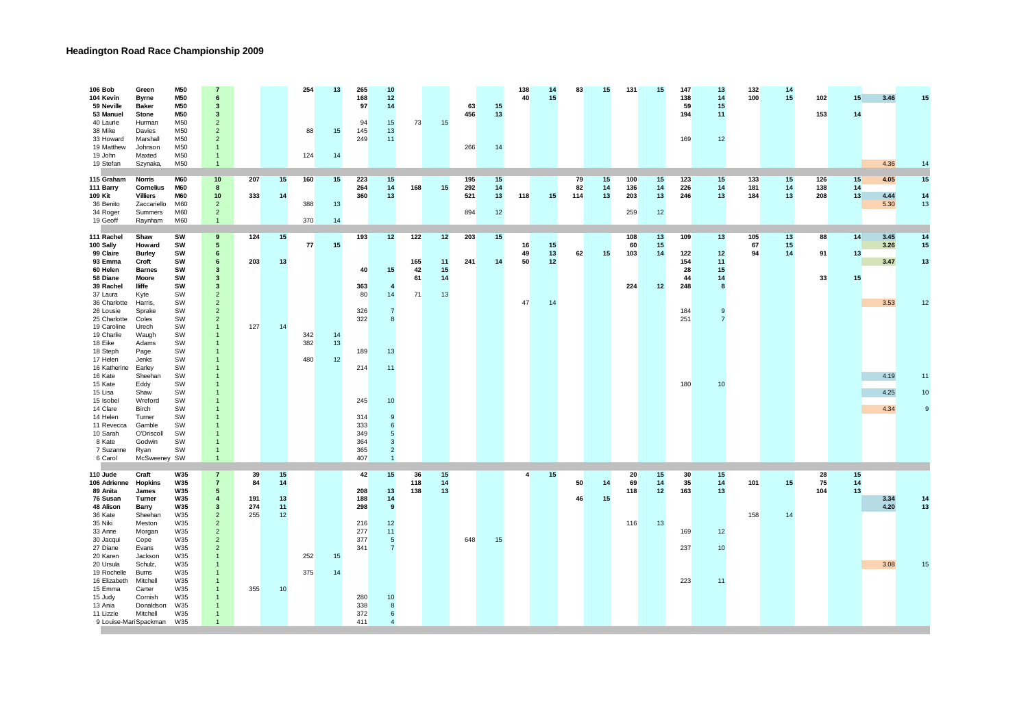## **Headington Road Race Championship 2009**

| 106 Bob<br>104 Kevin<br>59 Neville<br>53 Manuel<br>40 Laurie<br>38 Mike<br>33 Howard<br>19 Matthew<br>19 John                                                                                                                                                                                                                           | Green<br><b>Byrne</b><br><b>Baker</b><br><b>Stone</b><br>Hurman<br>Davies<br>Marshall<br>Johnson<br>Maxted                                                                                                                                                                 | <b>M50</b><br><b>M50</b><br><b>M50</b><br>M50<br>M50<br>M50<br>M50<br>M50<br>M50                                                                                     | 7<br>6<br>3<br>3<br>$\overline{2}$<br>$\overline{2}$<br>$\overline{2}$<br>$\mathbf{1}$<br>$\overline{1}$                                                                                                                                                                         |                                      |                                  | 254<br>88<br>124        | 13<br>15<br>14       | 265<br>168<br>97<br>94<br>145<br>249                                                         | 10<br>12<br>14<br>15<br>13<br>11                                                                                           | 73                           | 15                         | 63<br>456<br>266         | 15<br>13<br>14       | 138<br>40            | 14<br>15             | 83              | 15             | 131                      | 15                   | 147<br>138<br>59<br>194<br>169                            | 13<br>14<br>15<br>11<br>12                 | 132<br>100        | 14<br>15       | 102<br>153        | 15<br>14       | 3.46                                                 | 15                                    |
|-----------------------------------------------------------------------------------------------------------------------------------------------------------------------------------------------------------------------------------------------------------------------------------------------------------------------------------------|----------------------------------------------------------------------------------------------------------------------------------------------------------------------------------------------------------------------------------------------------------------------------|----------------------------------------------------------------------------------------------------------------------------------------------------------------------|----------------------------------------------------------------------------------------------------------------------------------------------------------------------------------------------------------------------------------------------------------------------------------|--------------------------------------|----------------------------------|-------------------------|----------------------|----------------------------------------------------------------------------------------------|----------------------------------------------------------------------------------------------------------------------------|------------------------------|----------------------------|--------------------------|----------------------|----------------------|----------------------|-----------------|----------------|--------------------------|----------------------|-----------------------------------------------------------|--------------------------------------------|-------------------|----------------|-------------------|----------------|------------------------------------------------------|---------------------------------------|
| 19 Stefan<br>115 Graham<br>111 Barry<br>109 Kit<br>36 Benito<br>34 Roger<br>19 Geoff                                                                                                                                                                                                                                                    | Szynaka,<br><b>Norris</b><br>Cornelius<br><b>Villiers</b><br>Zaccariello<br>Summers<br>Raynham                                                                                                                                                                             | M50<br><b>M60</b><br><b>M60</b><br><b>M60</b><br>M60<br>M60<br>M60                                                                                                   | $\mathbf{1}$<br>10<br>8<br>10<br>2 <sup>2</sup><br>$\overline{2}$<br>$\overline{1}$                                                                                                                                                                                              | 207<br>333                           | 15<br>14                         | 160<br>388<br>370       | 15<br>13<br>14       | 223<br>264<br>360                                                                            | 15<br>14<br>13                                                                                                             | 168                          | 15                         | 195<br>292<br>521<br>894 | 15<br>14<br>13<br>12 | 118                  | 15                   | 79<br>82<br>114 | 15<br>14<br>13 | 100<br>136<br>203<br>259 | 15<br>14<br>13<br>12 | 123<br>226<br>246                                         | 15<br>14<br>13                             | 133<br>181<br>184 | 15<br>14<br>13 | 126<br>138<br>208 | 15<br>14<br>13 | 4.36<br>4.05<br>4.44<br>5.30                         | 14<br>15<br>14<br>13                  |
| 111 Rachel<br>100 Sally<br>99 Claire<br>93 Emma<br>60 Helen<br>58 Diane<br>39 Rachel<br>37 Laura<br>36 Charlotte<br>26 Lousie<br>25 Charlotte<br>19 Caroline<br>19 Charlie<br>18 Eike<br>18 Steph<br>17 Helen<br>16 Katherine<br>16 Kate<br>15 Kate<br>15 Lisa<br>15 Isobel<br>14 Clare<br>14 Helen<br>11 Revecca<br>10 Sarah<br>8 Kate | Shaw<br>Howard<br><b>Burley</b><br>Croft<br><b>Barnes</b><br>Moore<br>lliffe<br>Kyte<br>Harris,<br>Sprake<br>Coles<br>Urech<br>Waugh<br>Adams<br>Page<br>Jenks<br>Earley<br>Sheehan<br>Eddy<br>Shaw<br>Wreford<br><b>Birch</b><br>Turner<br>Gamble<br>O'Driscoll<br>Godwin | SW<br>SW<br>SW<br>SW<br>SW<br>SW<br>SW<br>SW<br>SW<br>SW<br>SW<br>SW<br>SW<br>SW<br>SW<br>SW<br>SW<br>SW<br>SW<br>SW<br>SW<br>SW<br>SW<br>SW<br>SW<br>SW<br>SW       | 9<br>5<br>6<br>6<br>3<br>3<br>3<br>$\overline{2}$<br>$\overline{2}$<br>$\overline{2}$<br>$\overline{2}$<br>$\mathbf{1}$<br>1<br>-1<br>1<br>$\overline{1}$<br>$\mathbf{1}$<br>$\overline{1}$<br>-1<br>-1<br>$\overline{1}$<br>$\overline{1}$<br>$\mathbf{1}$                      | 124<br>203<br>127                    | 15<br>13<br>14                   | 77<br>342<br>382<br>480 | 15<br>14<br>13<br>12 | 193<br>40<br>363<br>80<br>326<br>322<br>189<br>214<br>245<br>314<br>333<br>349<br>364<br>365 | 12<br>15<br>$\overline{4}$<br>14<br>$\overline{7}$<br>8<br>13<br>11<br>10<br>9<br>6<br>5<br>$\mathbf{3}$<br>$\overline{2}$ | 122<br>165<br>42<br>61<br>71 | 12<br>11<br>15<br>14<br>13 | 203<br>241               | 15<br>14             | 16<br>49<br>50<br>47 | 15<br>13<br>12<br>14 | 62              | 15             | 108<br>60<br>103<br>224  | 13<br>15<br>14<br>12 | 109<br>122<br>154<br>28<br>44<br>248<br>184<br>251<br>180 | 13<br>12<br>11<br>15<br>14<br>8<br>9<br>10 | 105<br>67<br>94   | 13<br>15<br>14 | 88<br>91<br>33    | 14<br>13<br>15 | 3.45<br>3.26<br>3.47<br>3.53<br>4.19<br>4.25<br>4.34 | 14<br>15<br>13<br>12<br>11<br>10<br>9 |
| 7 Suzanne<br>6 Carol<br>110 Jude<br>106 Adrienne<br>89 Anita<br>76 Susan<br>48 Alison<br>36 Kate<br>35 Niki<br>33 Anne<br>30 Jacqui<br>27 Diane<br>20 Karen<br>20 Ursula<br>19 Rochelle<br>16 Elizabeth<br>15 Emma<br>15 Judy<br>13 Ania<br>11 Lizzie<br>9 Louise-Mari Spackman                                                         | Ryan<br>McSweeney SW<br>Craft<br><b>Hopkins</b><br>James<br>Turner<br>Barry<br>Sheehan<br>Meston<br>Morgan<br>Cope<br>Evans<br>Jackson<br>Schulz,<br>Burns<br>Mitchell<br>Carter<br>Cornish<br>Donaldson<br>Mitchell                                                       | <b>W35</b><br><b>W35</b><br><b>W35</b><br><b>W35</b><br><b>W35</b><br>W35<br>W35<br>W35<br>W35<br>W35<br>W35<br>W35<br>W35<br>W35<br>W35<br>W35<br>W35<br>W35<br>W35 | $\overline{1}$<br>$\overline{7}$<br>$\overline{7}$<br>5<br>4<br>3<br>$\overline{2}$<br>$\overline{2}$<br>$\overline{2}$<br>$\overline{2}$<br>$\overline{2}$<br>1<br>-1<br>$\mathbf{1}$<br>$\overline{1}$<br>$\mathbf{1}$<br>-1<br>$\mathbf{1}$<br>$\mathbf{1}$<br>$\overline{1}$ | 39<br>84<br>191<br>274<br>255<br>355 | 15<br>14<br>13<br>11<br>12<br>10 | 252<br>375              | 15<br>14             | 407<br>42<br>208<br>188<br>298<br>216<br>277<br>377<br>341<br>280<br>338<br>372<br>411       | $\overline{1}$<br>15<br>13<br>14<br>9<br>12<br>11<br>5<br>$\overline{7}$<br>10<br>8<br>6<br>$\overline{4}$                 | 36<br>118<br>138             | 15<br>14<br>13             | 648                      | 15                   | $\overline{4}$       | 15                   | 50<br>46        | 14<br>15       | 20<br>69<br>118<br>116   | 15<br>14<br>12<br>13 | 30<br>35<br>163<br>169<br>237<br>223                      | 15<br>14<br>13<br>12<br>10<br>11           | 101<br>158        | 15<br>14       | 28<br>75<br>104   | 15<br>14<br>13 | 3.34<br>4.20<br>3.08                                 | 14<br>13<br>15                        |